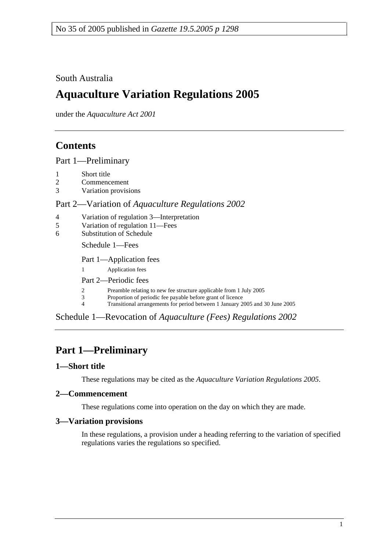## South Australia

# **Aquaculture Variation Regulations 2005**

under the *Aquaculture Act 2001*

# **Contents**

Part 1—Preliminary

- 1 Short title
- 2 Commencement
- 3 Variation provisions

#### Part 2—Variation of *Aquaculture Regulations 2002*

- 4 Variation of regulation 3—Interpretation
- 5 Variation of regulation 11—Fees
- 6 Substitution of Schedule

Schedule 1—Fees

Part 1—Application fees

1 Application fees

Part 2—Periodic fees

- 2 Preamble relating to new fee structure applicable from 1 July 2005<br>
Proportion of periodic fee payable before grant of licence
	- Proportion of periodic fee payable before grant of licence
- 4 Transitional arrangements for period between 1 January 2005 and 30 June 2005

Schedule 1—Revocation of *Aquaculture (Fees) Regulations 2002*

# **Part 1—Preliminary**

### **1—Short title**

These regulations may be cited as the *Aquaculture Variation Regulations 2005*.

### **2—Commencement**

These regulations come into operation on the day on which they are made.

#### **3—Variation provisions**

In these regulations, a provision under a heading referring to the variation of specified regulations varies the regulations so specified.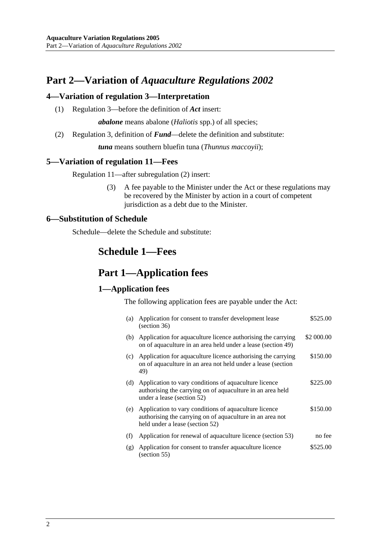# **Part 2—Variation of** *Aquaculture Regulations 2002*

#### **4—Variation of regulation 3—Interpretation**

(1) Regulation 3—before the definition of *Act* insert:

*abalone* means abalone (*Haliotis* spp.) of all species;

(2) Regulation 3, definition of *Fund*—delete the definition and substitute:

*tuna* means southern bluefin tuna (*Thunnus maccoyii*);

#### **5—Variation of regulation 11—Fees**

Regulation 11—after subregulation (2) insert:

 (3) A fee payable to the Minister under the Act or these regulations may be recovered by the Minister by action in a court of competent jurisdiction as a debt due to the Minister.

#### **6—Substitution of Schedule**

Schedule—delete the Schedule and substitute:

## **Schedule 1—Fees**

## **Part 1—Application fees**

#### **1—Application fees**

The following application fees are payable under the Act:

| (a) | Application for consent to transfer development lease<br>(section 36)                                                                                 | \$525.00   |
|-----|-------------------------------------------------------------------------------------------------------------------------------------------------------|------------|
| (b) | Application for aquaculture licence authorising the carrying<br>on of aquaculture in an area held under a lease (section 49)                          | \$2 000.00 |
| (c) | Application for aquaculture licence authorising the carrying<br>on of aquaculture in an area not held under a lease (section<br>49)                   | \$150.00   |
|     | (d) Application to vary conditions of aquaculture licence<br>authorising the carrying on of aquaculture in an area held<br>under a lease (section 52) | \$225.00   |
| (e) | Application to vary conditions of aquaculture licence<br>authorising the carrying on of aquaculture in an area not<br>held under a lease (section 52) | \$150.00   |
| (f) | Application for renewal of aquaculture licence (section 53)                                                                                           | no fee     |
| (g) | Application for consent to transfer aquaculture licence<br>(section 55)                                                                               | \$525.00   |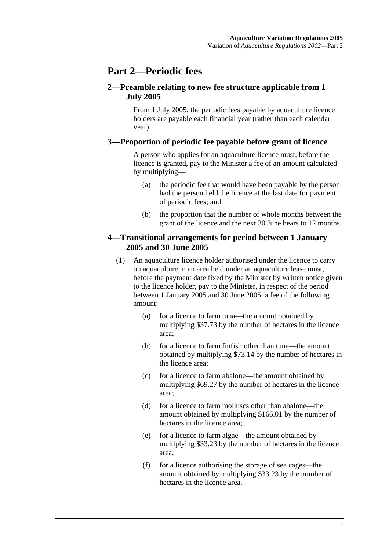# **Part 2—Periodic fees**

### **2—Preamble relating to new fee structure applicable from 1 July 2005**

From 1 July 2005, the periodic fees payable by aquaculture licence holders are payable each financial year (rather than each calendar year).

### **3—Proportion of periodic fee payable before grant of licence**

A person who applies for an aquaculture licence must, before the licence is granted, pay to the Minister a fee of an amount calculated by multiplying—

- (a) the periodic fee that would have been payable by the person had the person held the licence at the last date for payment of periodic fees; and
- (b) the proportion that the number of whole months between the grant of the licence and the next 30 June bears to 12 months.

#### **4—Transitional arrangements for period between 1 January 2005 and 30 June 2005**

- (1) An aquaculture licence holder authorised under the licence to carry on aquaculture in an area held under an aquaculture lease must, before the payment date fixed by the Minister by written notice given to the licence holder, pay to the Minister, in respect of the period between 1 January 2005 and 30 June 2005, a fee of the following amount:
	- (a) for a licence to farm tuna—the amount obtained by multiplying \$37.73 by the number of hectares in the licence area;
	- (b) for a licence to farm finfish other than tuna—the amount obtained by multiplying \$73.14 by the number of hectares in the licence area;
	- (c) for a licence to farm abalone—the amount obtained by multiplying \$69.27 by the number of hectares in the licence area;
	- (d) for a licence to farm molluscs other than abalone—the amount obtained by multiplying \$166.01 by the number of hectares in the licence area;
	- (e) for a licence to farm algae—the amount obtained by multiplying \$33.23 by the number of hectares in the licence area;
	- (f) for a licence authorising the storage of sea cages—the amount obtained by multiplying \$33.23 by the number of hectares in the licence area.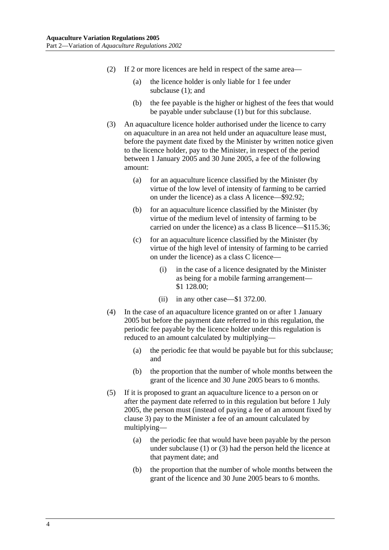- (2) If 2 or more licences are held in respect of the same area—
	- (a) the licence holder is only liable for 1 fee under subclause (1): and
	- (b) the fee payable is the higher or highest of the fees that would be payable under subclause (1) but for this subclause.
- (3) An aquaculture licence holder authorised under the licence to carry on aquaculture in an area not held under an aquaculture lease must, before the payment date fixed by the Minister by written notice given to the licence holder, pay to the Minister, in respect of the period between 1 January 2005 and 30 June 2005, a fee of the following amount:
	- (a) for an aquaculture licence classified by the Minister (by virtue of the low level of intensity of farming to be carried on under the licence) as a class A licence—\$92.92;
	- (b) for an aquaculture licence classified by the Minister (by virtue of the medium level of intensity of farming to be carried on under the licence) as a class B licence—\$115.36;
	- (c) for an aquaculture licence classified by the Minister (by virtue of the high level of intensity of farming to be carried on under the licence) as a class C licence—
		- (i) in the case of a licence designated by the Minister as being for a mobile farming arrangement— \$1 128.00;
		- (ii) in any other case—\$1 372.00.
- (4) In the case of an aquaculture licence granted on or after 1 January 2005 but before the payment date referred to in this regulation, the periodic fee payable by the licence holder under this regulation is reduced to an amount calculated by multiplying—
	- (a) the periodic fee that would be payable but for this subclause; and
	- (b) the proportion that the number of whole months between the grant of the licence and 30 June 2005 bears to 6 months.
- (5) If it is proposed to grant an aquaculture licence to a person on or after the payment date referred to in this regulation but before 1 July 2005, the person must (instead of paying a fee of an amount fixed by clause 3) pay to the Minister a fee of an amount calculated by multiplying—
	- (a) the periodic fee that would have been payable by the person under subclause (1) or (3) had the person held the licence at that payment date; and
	- (b) the proportion that the number of whole months between the grant of the licence and 30 June 2005 bears to 6 months.